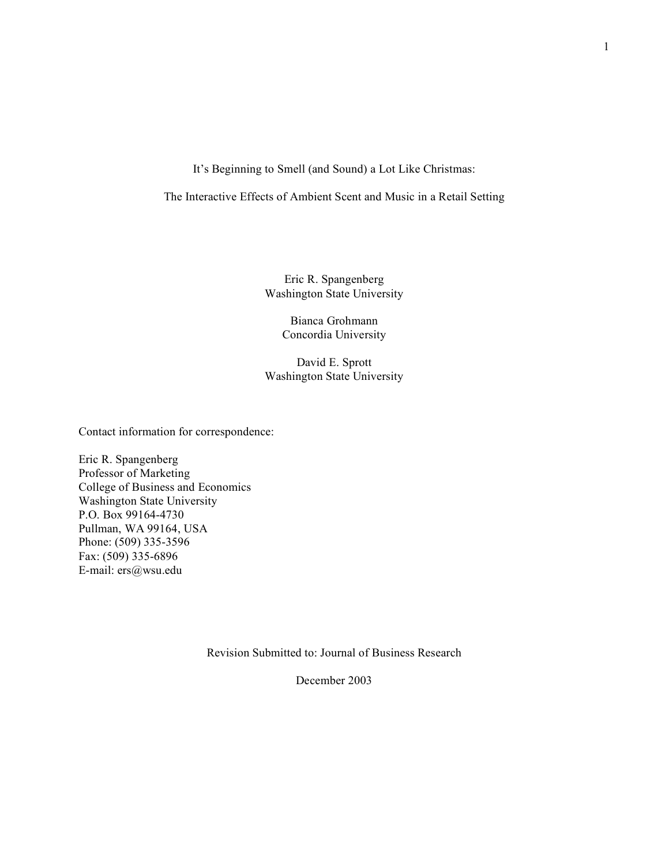# It's Beginning to Smell (and Sound) a Lot Like Christmas:

# The Interactive Effects of Ambient Scent and Music in a Retail Setting

Eric R. Spangenberg Washington State University

> Bianca Grohmann Concordia University

David E. Sprott Washington State University

Contact information for correspondence:

Eric R. Spangenberg Professor of Marketing College of Business and Economics Washington State University P.O. Box 99164-4730 Pullman, WA 99164, USA Phone: (509) 335-3596 Fax: (509) 335-6896 E-mail: ers@wsu.edu

Revision Submitted to: Journal of Business Research

December 2003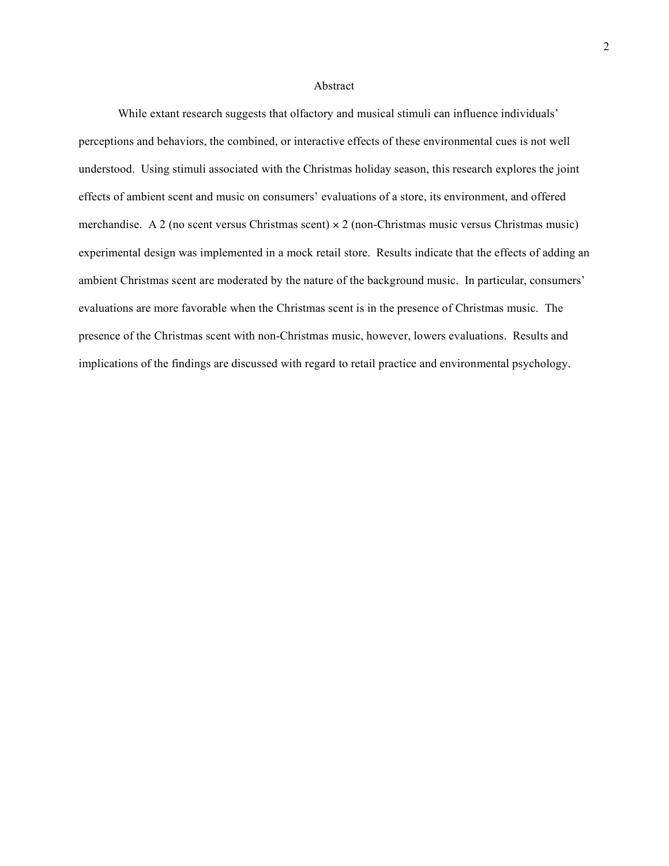### Abstract

While extant research suggests that olfactory and musical stimuli can influence individuals' perceptions and behaviors, the combined, or interactive effects of these environmental cues is not well understood. Using stimuli associated with the Christmas holiday season, this research explores the joint effects of ambient scent and music on consumers' evaluations of a store, its environment, and offered merchandise. A 2 (no scent versus Christmas scent) × 2 (non-Christmas music versus Christmas music) experimental design was implemented in a mock retail store. Results indicate that the effects of adding an ambient Christmas scent are moderated by the nature of the background music. In particular, consumers' evaluations are more favorable when the Christmas scent is in the presence of Christmas music. The presence of the Christmas scent with non-Christmas music, however, lowers evaluations. Results and implications of the findings are discussed with regard to retail practice and environmental psychology.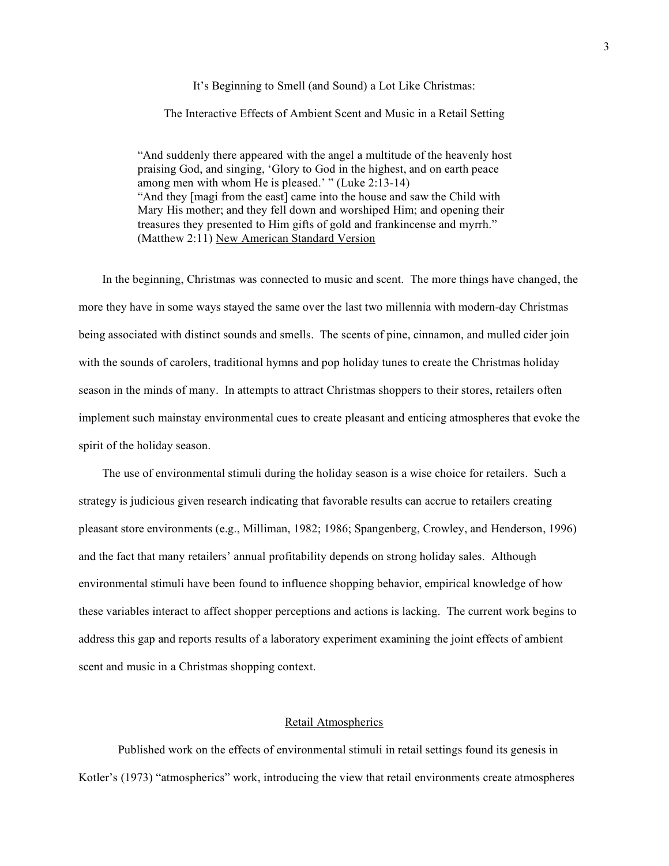It's Beginning to Smell (and Sound) a Lot Like Christmas:

The Interactive Effects of Ambient Scent and Music in a Retail Setting

"And suddenly there appeared with the angel a multitude of the heavenly host praising God, and singing, 'Glory to God in the highest, and on earth peace among men with whom He is pleased.' " (Luke 2:13-14) "And they [magi from the east] came into the house and saw the Child with Mary His mother; and they fell down and worshiped Him; and opening their treasures they presented to Him gifts of gold and frankincense and myrrh." (Matthew 2:11) New American Standard Version

In the beginning, Christmas was connected to music and scent. The more things have changed, the more they have in some ways stayed the same over the last two millennia with modern-day Christmas being associated with distinct sounds and smells. The scents of pine, cinnamon, and mulled cider join with the sounds of carolers, traditional hymns and pop holiday tunes to create the Christmas holiday season in the minds of many. In attempts to attract Christmas shoppers to their stores, retailers often implement such mainstay environmental cues to create pleasant and enticing atmospheres that evoke the spirit of the holiday season.

The use of environmental stimuli during the holiday season is a wise choice for retailers. Such a strategy is judicious given research indicating that favorable results can accrue to retailers creating pleasant store environments (e.g., Milliman, 1982; 1986; Spangenberg, Crowley, and Henderson, 1996) and the fact that many retailers' annual profitability depends on strong holiday sales. Although environmental stimuli have been found to influence shopping behavior, empirical knowledge of how these variables interact to affect shopper perceptions and actions is lacking. The current work begins to address this gap and reports results of a laboratory experiment examining the joint effects of ambient scent and music in a Christmas shopping context.

### Retail Atmospherics

Published work on the effects of environmental stimuli in retail settings found its genesis in Kotler's (1973) "atmospherics" work, introducing the view that retail environments create atmospheres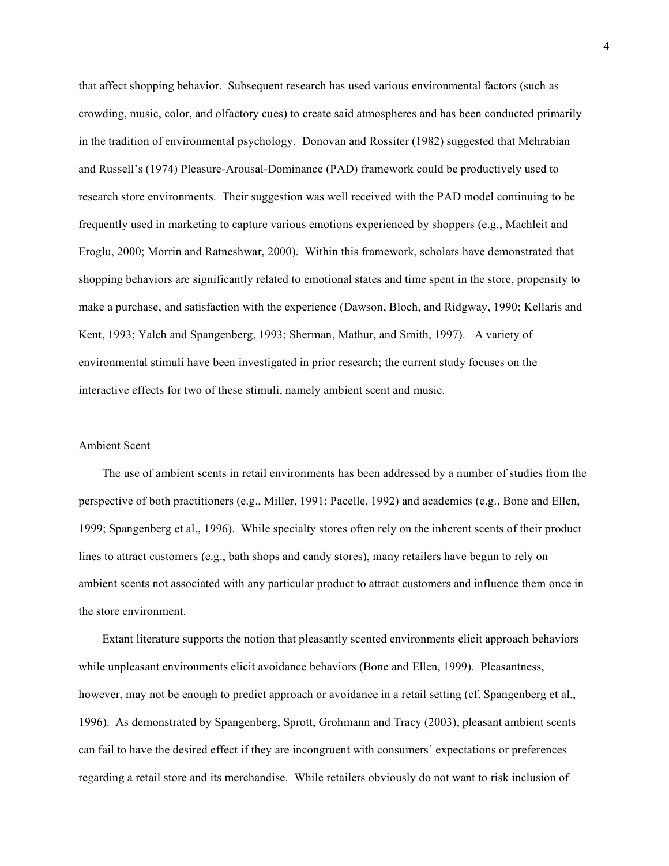that affect shopping behavior. Subsequent research has used various environmental factors (such as crowding, music, color, and olfactory cues) to create said atmospheres and has been conducted primarily in the tradition of environmental psychology. Donovan and Rossiter (1982) suggested that Mehrabian and Russell's (1974) Pleasure-Arousal-Dominance (PAD) framework could be productively used to research store environments. Their suggestion was well received with the PAD model continuing to be frequently used in marketing to capture various emotions experienced by shoppers (e.g., Machleit and Eroglu, 2000; Morrin and Ratneshwar, 2000). Within this framework, scholars have demonstrated that shopping behaviors are significantly related to emotional states and time spent in the store, propensity to make a purchase, and satisfaction with the experience (Dawson, Bloch, and Ridgway, 1990; Kellaris and Kent, 1993; Yalch and Spangenberg, 1993; Sherman, Mathur, and Smith, 1997). A variety of environmental stimuli have been investigated in prior research; the current study focuses on the interactive effects for two of these stimuli, namely ambient scent and music.

# Ambient Scent

The use of ambient scents in retail environments has been addressed by a number of studies from the perspective of both practitioners (e.g., Miller, 1991; Pacelle, 1992) and academics (e.g., Bone and Ellen, 1999; Spangenberg et al., 1996). While specialty stores often rely on the inherent scents of their product lines to attract customers (e.g., bath shops and candy stores), many retailers have begun to rely on ambient scents not associated with any particular product to attract customers and influence them once in the store environment.

Extant literature supports the notion that pleasantly scented environments elicit approach behaviors while unpleasant environments elicit avoidance behaviors (Bone and Ellen, 1999). Pleasantness, however, may not be enough to predict approach or avoidance in a retail setting (cf. Spangenberg et al., 1996). As demonstrated by Spangenberg, Sprott, Grohmann and Tracy (2003), pleasant ambient scents can fail to have the desired effect if they are incongruent with consumers' expectations or preferences regarding a retail store and its merchandise. While retailers obviously do not want to risk inclusion of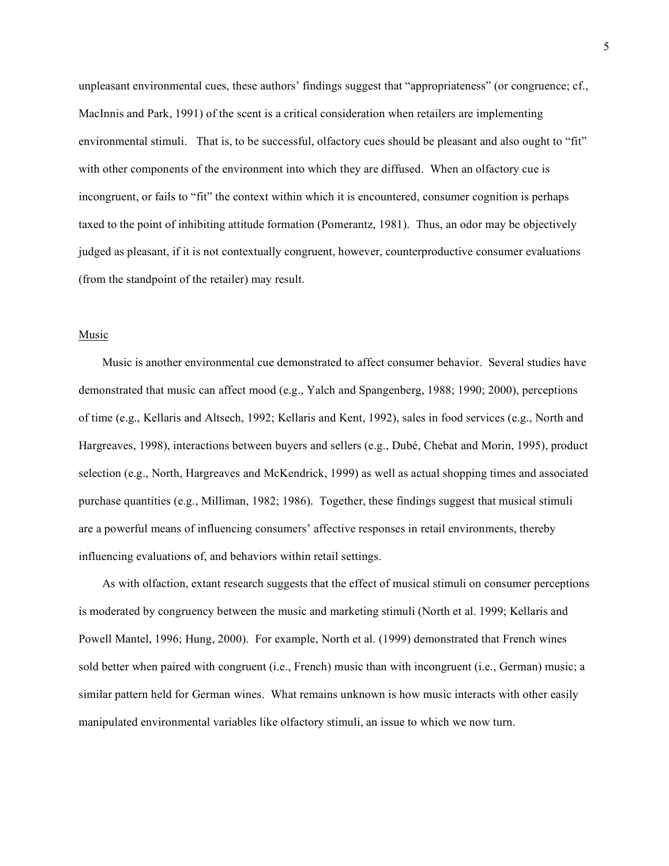unpleasant environmental cues, these authors' findings suggest that "appropriateness" (or congruence; cf., MacInnis and Park, 1991) of the scent is a critical consideration when retailers are implementing environmental stimuli. That is, to be successful, olfactory cues should be pleasant and also ought to "fit" with other components of the environment into which they are diffused. When an olfactory cue is incongruent, or fails to "fit" the context within which it is encountered, consumer cognition is perhaps taxed to the point of inhibiting attitude formation (Pomerantz, 1981). Thus, an odor may be objectively judged as pleasant, if it is not contextually congruent, however, counterproductive consumer evaluations (from the standpoint of the retailer) may result.

#### Music

Music is another environmental cue demonstrated to affect consumer behavior. Several studies have demonstrated that music can affect mood (e.g., Yalch and Spangenberg, 1988; 1990; 2000), perceptions of time (e.g., Kellaris and Altsech, 1992; Kellaris and Kent, 1992), sales in food services (e.g., North and Hargreaves, 1998), interactions between buyers and sellers (e.g., Dubé, Chebat and Morin, 1995), product selection (e.g., North, Hargreaves and McKendrick, 1999) as well as actual shopping times and associated purchase quantities (e.g., Milliman, 1982; 1986). Together, these findings suggest that musical stimuli are a powerful means of influencing consumers' affective responses in retail environments, thereby influencing evaluations of, and behaviors within retail settings.

As with olfaction, extant research suggests that the effect of musical stimuli on consumer perceptions is moderated by congruency between the music and marketing stimuli (North et al. 1999; Kellaris and Powell Mantel, 1996; Hung, 2000). For example, North et al. (1999) demonstrated that French wines sold better when paired with congruent (i.e., French) music than with incongruent (i.e., German) music; a similar pattern held for German wines. What remains unknown is how music interacts with other easily manipulated environmental variables like olfactory stimuli, an issue to which we now turn.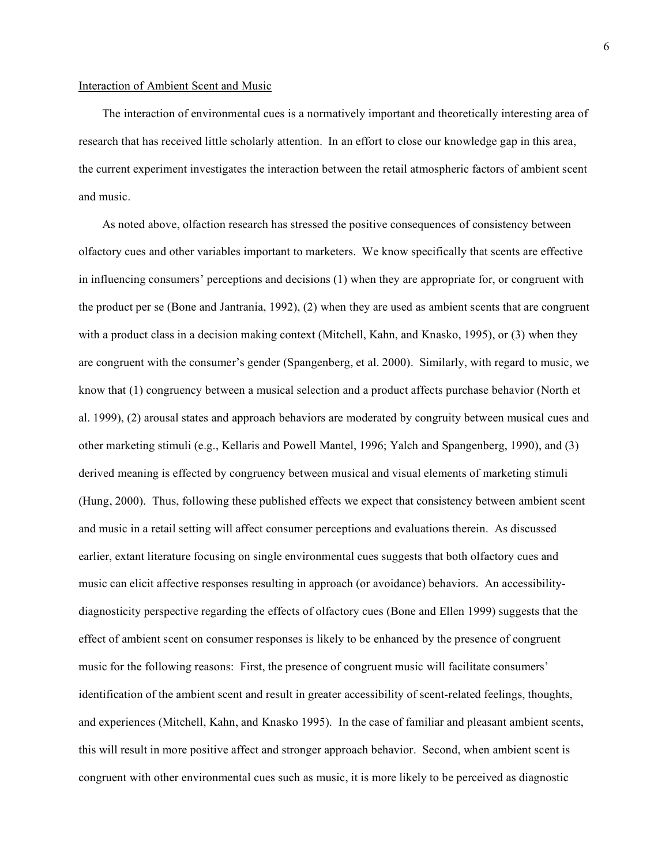### Interaction of Ambient Scent and Music

The interaction of environmental cues is a normatively important and theoretically interesting area of research that has received little scholarly attention. In an effort to close our knowledge gap in this area, the current experiment investigates the interaction between the retail atmospheric factors of ambient scent and music.

As noted above, olfaction research has stressed the positive consequences of consistency between olfactory cues and other variables important to marketers. We know specifically that scents are effective in influencing consumers' perceptions and decisions (1) when they are appropriate for, or congruent with the product per se (Bone and Jantrania, 1992), (2) when they are used as ambient scents that are congruent with a product class in a decision making context (Mitchell, Kahn, and Knasko, 1995), or (3) when they are congruent with the consumer's gender (Spangenberg, et al. 2000). Similarly, with regard to music, we know that (1) congruency between a musical selection and a product affects purchase behavior (North et al. 1999), (2) arousal states and approach behaviors are moderated by congruity between musical cues and other marketing stimuli (e.g., Kellaris and Powell Mantel, 1996; Yalch and Spangenberg, 1990), and (3) derived meaning is effected by congruency between musical and visual elements of marketing stimuli (Hung, 2000). Thus, following these published effects we expect that consistency between ambient scent and music in a retail setting will affect consumer perceptions and evaluations therein. As discussed earlier, extant literature focusing on single environmental cues suggests that both olfactory cues and music can elicit affective responses resulting in approach (or avoidance) behaviors. An accessibilitydiagnosticity perspective regarding the effects of olfactory cues (Bone and Ellen 1999) suggests that the effect of ambient scent on consumer responses is likely to be enhanced by the presence of congruent music for the following reasons: First, the presence of congruent music will facilitate consumers' identification of the ambient scent and result in greater accessibility of scent-related feelings, thoughts, and experiences (Mitchell, Kahn, and Knasko 1995). In the case of familiar and pleasant ambient scents, this will result in more positive affect and stronger approach behavior. Second, when ambient scent is congruent with other environmental cues such as music, it is more likely to be perceived as diagnostic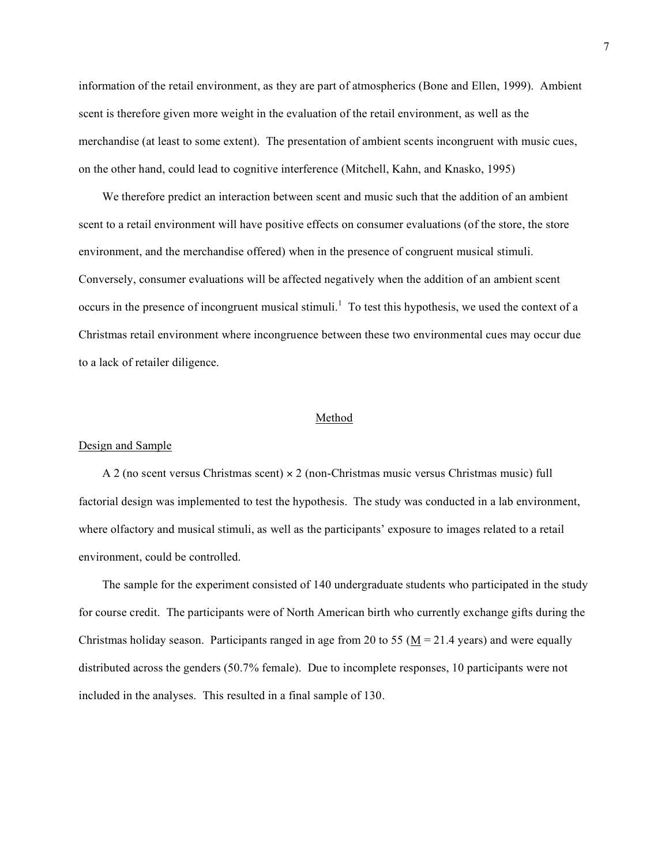information of the retail environment, as they are part of atmospherics (Bone and Ellen, 1999). Ambient scent is therefore given more weight in the evaluation of the retail environment, as well as the merchandise (at least to some extent). The presentation of ambient scents incongruent with music cues, on the other hand, could lead to cognitive interference (Mitchell, Kahn, and Knasko, 1995)

We therefore predict an interaction between scent and music such that the addition of an ambient scent to a retail environment will have positive effects on consumer evaluations (of the store, the store environment, and the merchandise offered) when in the presence of congruent musical stimuli. Conversely, consumer evaluations will be affected negatively when the addition of an ambient scent occurs in the presence of incongruent musical stimuli.<sup>1</sup> To test this hypothesis, we used the context of a Christmas retail environment where incongruence between these two environmental cues may occur due to a lack of retailer diligence.

#### Method

# Design and Sample

A 2 (no scent versus Christmas scent) × 2 (non-Christmas music versus Christmas music) full factorial design was implemented to test the hypothesis. The study was conducted in a lab environment, where olfactory and musical stimuli, as well as the participants' exposure to images related to a retail environment, could be controlled.

The sample for the experiment consisted of 140 undergraduate students who participated in the study for course credit. The participants were of North American birth who currently exchange gifts during the Christmas holiday season. Participants ranged in age from 20 to 55 ( $M = 21.4$  years) and were equally distributed across the genders (50.7% female). Due to incomplete responses, 10 participants were not included in the analyses. This resulted in a final sample of 130.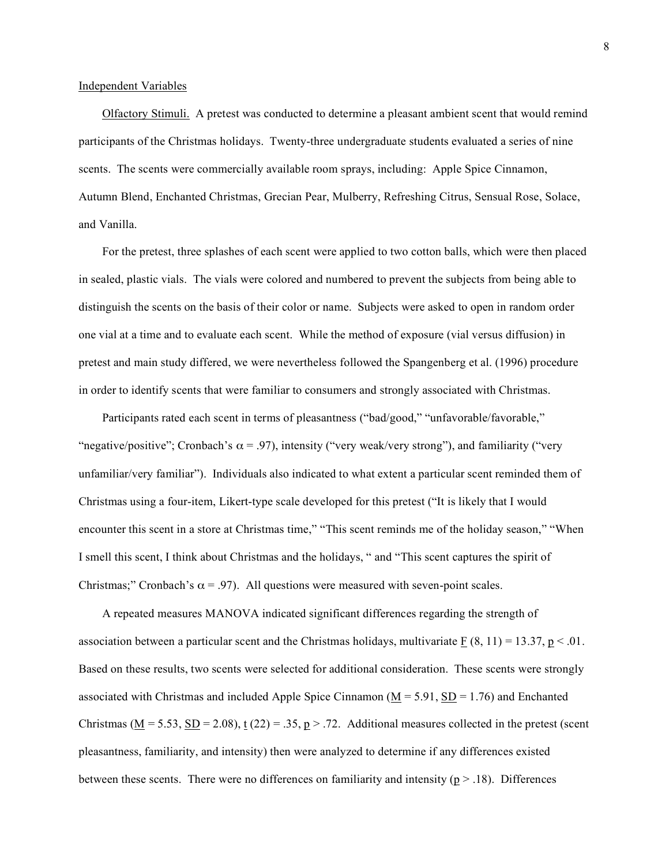### Independent Variables

Olfactory Stimuli. A pretest was conducted to determine a pleasant ambient scent that would remind participants of the Christmas holidays. Twenty-three undergraduate students evaluated a series of nine scents. The scents were commercially available room sprays, including: Apple Spice Cinnamon, Autumn Blend, Enchanted Christmas, Grecian Pear, Mulberry, Refreshing Citrus, Sensual Rose, Solace, and Vanilla.

For the pretest, three splashes of each scent were applied to two cotton balls, which were then placed in sealed, plastic vials. The vials were colored and numbered to prevent the subjects from being able to distinguish the scents on the basis of their color or name. Subjects were asked to open in random order one vial at a time and to evaluate each scent. While the method of exposure (vial versus diffusion) in pretest and main study differed, we were nevertheless followed the Spangenberg et al. (1996) procedure in order to identify scents that were familiar to consumers and strongly associated with Christmas.

Participants rated each scent in terms of pleasantness ("bad/good," "unfavorable/favorable," "negative/positive"; Cronbach's  $\alpha$  = .97), intensity ("very weak/very strong"), and familiarity ("very unfamiliar/very familiar"). Individuals also indicated to what extent a particular scent reminded them of Christmas using a four-item, Likert-type scale developed for this pretest ("It is likely that I would encounter this scent in a store at Christmas time," "This scent reminds me of the holiday season," "When I smell this scent, I think about Christmas and the holidays, " and "This scent captures the spirit of Christmas;" Cronbach's  $\alpha$  = .97). All questions were measured with seven-point scales.

A repeated measures MANOVA indicated significant differences regarding the strength of association between a particular scent and the Christmas holidays, multivariate  $\underline{F}(8, 11) = 13.37$ ,  $\underline{p} < .01$ . Based on these results, two scents were selected for additional consideration. These scents were strongly associated with Christmas and included Apple Spice Cinnamon ( $\underline{M} = 5.91$ ,  $\underline{SD} = 1.76$ ) and Enchanted Christmas (M = 5.53, SD = 2.08), t (22) = .35, p > .72. Additional measures collected in the pretest (scent pleasantness, familiarity, and intensity) then were analyzed to determine if any differences existed between these scents. There were no differences on familiarity and intensity ( $p > .18$ ). Differences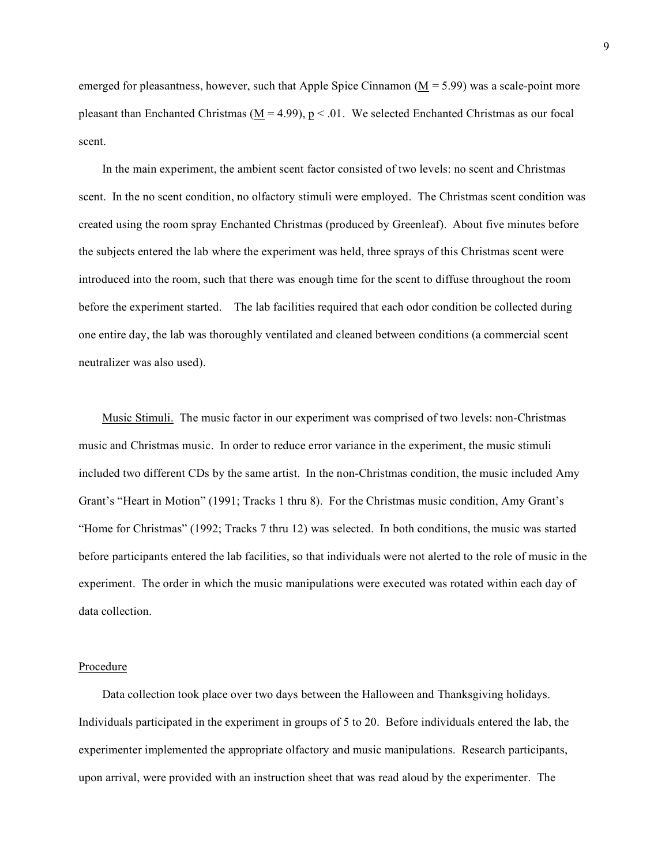emerged for pleasantness, however, such that Apple Spice Cinnamon  $(M = 5.99)$  was a scale-point more pleasant than Enchanted Christmas ( $\underline{M} = 4.99$ ),  $\underline{p} < .01$ . We selected Enchanted Christmas as our focal scent.

In the main experiment, the ambient scent factor consisted of two levels: no scent and Christmas scent. In the no scent condition, no olfactory stimuli were employed. The Christmas scent condition was created using the room spray Enchanted Christmas (produced by Greenleaf). About five minutes before the subjects entered the lab where the experiment was held, three sprays of this Christmas scent were introduced into the room, such that there was enough time for the scent to diffuse throughout the room before the experiment started. The lab facilities required that each odor condition be collected during one entire day, the lab was thoroughly ventilated and cleaned between conditions (a commercial scent neutralizer was also used).

Music Stimuli. The music factor in our experiment was comprised of two levels: non-Christmas music and Christmas music. In order to reduce error variance in the experiment, the music stimuli included two different CDs by the same artist. In the non-Christmas condition, the music included Amy Grant's "Heart in Motion" (1991; Tracks 1 thru 8). For the Christmas music condition, Amy Grant's "Home for Christmas" (1992; Tracks 7 thru 12) was selected. In both conditions, the music was started before participants entered the lab facilities, so that individuals were not alerted to the role of music in the experiment. The order in which the music manipulations were executed was rotated within each day of data collection.

### Procedure

Data collection took place over two days between the Halloween and Thanksgiving holidays. Individuals participated in the experiment in groups of 5 to 20. Before individuals entered the lab, the experimenter implemented the appropriate olfactory and music manipulations. Research participants, upon arrival, were provided with an instruction sheet that was read aloud by the experimenter. The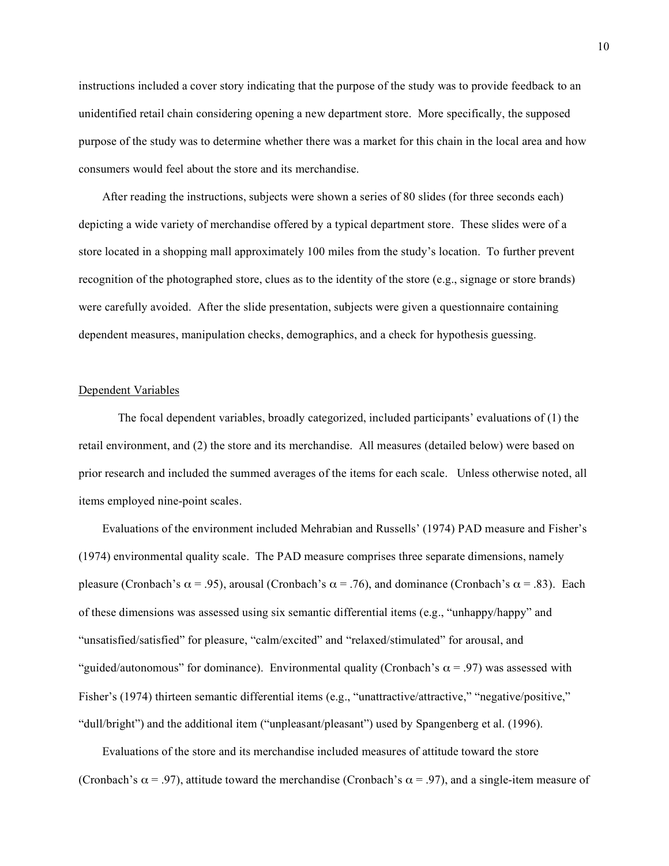instructions included a cover story indicating that the purpose of the study was to provide feedback to an unidentified retail chain considering opening a new department store. More specifically, the supposed purpose of the study was to determine whether there was a market for this chain in the local area and how consumers would feel about the store and its merchandise.

After reading the instructions, subjects were shown a series of 80 slides (for three seconds each) depicting a wide variety of merchandise offered by a typical department store. These slides were of a store located in a shopping mall approximately 100 miles from the study's location. To further prevent recognition of the photographed store, clues as to the identity of the store (e.g., signage or store brands) were carefully avoided. After the slide presentation, subjects were given a questionnaire containing dependent measures, manipulation checks, demographics, and a check for hypothesis guessing.

### Dependent Variables

The focal dependent variables, broadly categorized, included participants' evaluations of (1) the retail environment, and (2) the store and its merchandise. All measures (detailed below) were based on prior research and included the summed averages of the items for each scale. Unless otherwise noted, all items employed nine-point scales.

Evaluations of the environment included Mehrabian and Russells' (1974) PAD measure and Fisher's (1974) environmental quality scale. The PAD measure comprises three separate dimensions, namely pleasure (Cronbach's  $\alpha$  = .95), arousal (Cronbach's  $\alpha$  = .76), and dominance (Cronbach's  $\alpha$  = .83). Each of these dimensions was assessed using six semantic differential items (e.g., "unhappy/happy" and "unsatisfied/satisfied" for pleasure, "calm/excited" and "relaxed/stimulated" for arousal, and "guided/autonomous" for dominance). Environmental quality (Cronbach's  $\alpha$  = .97) was assessed with Fisher's (1974) thirteen semantic differential items (e.g., "unattractive/attractive," "negative/positive," "dull/bright") and the additional item ("unpleasant/pleasant") used by Spangenberg et al. (1996).

Evaluations of the store and its merchandise included measures of attitude toward the store (Cronbach's  $\alpha$  = .97), attitude toward the merchandise (Cronbach's  $\alpha$  = .97), and a single-item measure of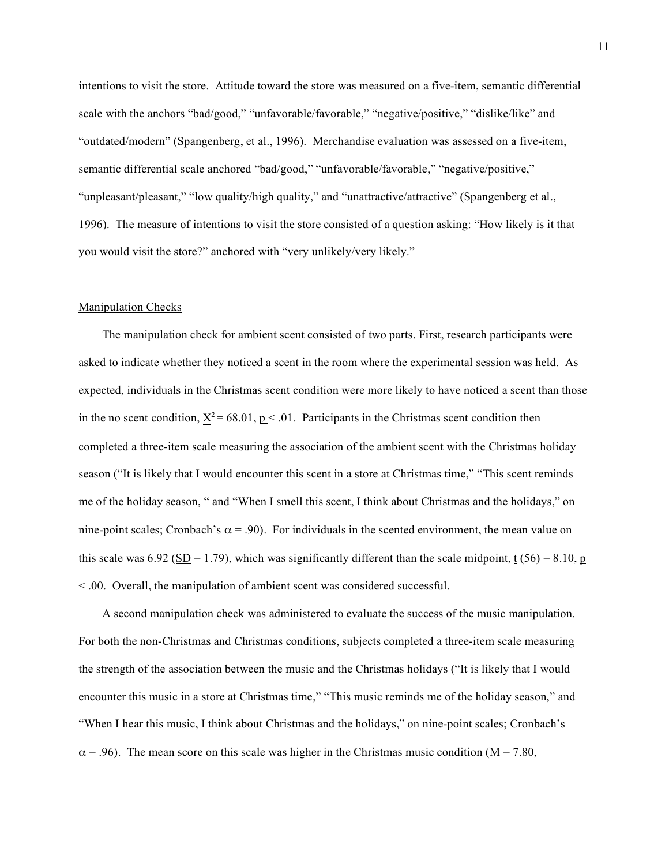intentions to visit the store. Attitude toward the store was measured on a five-item, semantic differential scale with the anchors "bad/good," "unfavorable/favorable," "negative/positive," "dislike/like" and "outdated/modern" (Spangenberg, et al., 1996). Merchandise evaluation was assessed on a five-item, semantic differential scale anchored "bad/good," "unfavorable/favorable," "negative/positive," "unpleasant/pleasant," "low quality/high quality," and "unattractive/attractive" (Spangenberg et al., 1996). The measure of intentions to visit the store consisted of a question asking: "How likely is it that you would visit the store?" anchored with "very unlikely/very likely."

# **Manipulation Checks**

The manipulation check for ambient scent consisted of two parts. First, research participants were asked to indicate whether they noticed a scent in the room where the experimental session was held. As expected, individuals in the Christmas scent condition were more likely to have noticed a scent than those in the no scent condition,  $\underline{X}^2 = 68.01$ ,  $\underline{p} < .01$ . Participants in the Christmas scent condition then completed a three-item scale measuring the association of the ambient scent with the Christmas holiday season ("It is likely that I would encounter this scent in a store at Christmas time," "This scent reminds me of the holiday season, " and "When I smell this scent, I think about Christmas and the holidays," on nine-point scales; Cronbach's  $\alpha$  = .90). For individuals in the scented environment, the mean value on this scale was  $6.92$  (SD = 1.79), which was significantly different than the scale midpoint, t (56) = 8.10, p < .00. Overall, the manipulation of ambient scent was considered successful.

A second manipulation check was administered to evaluate the success of the music manipulation. For both the non-Christmas and Christmas conditions, subjects completed a three-item scale measuring the strength of the association between the music and the Christmas holidays ("It is likely that I would encounter this music in a store at Christmas time," "This music reminds me of the holiday season," and "When I hear this music, I think about Christmas and the holidays," on nine-point scales; Cronbach's  $\alpha$  = .96). The mean score on this scale was higher in the Christmas music condition (M = 7.80,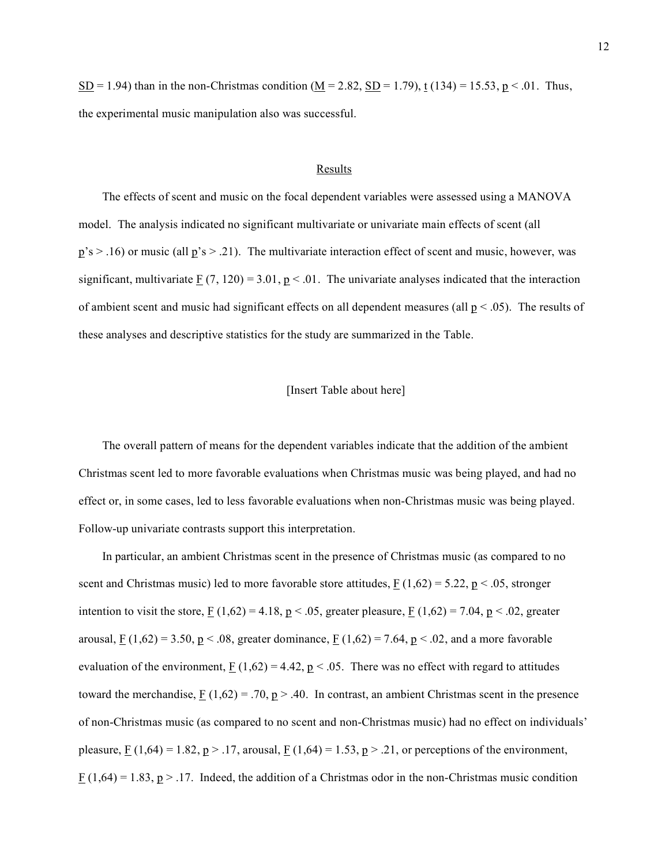SD = 1.94) than in the non-Christmas condition (M = 2.82, SD = 1.79), t (134) = 15.53, p < .01. Thus, the experimental music manipulation also was successful.

#### Results

The effects of scent and music on the focal dependent variables were assessed using a MANOVA model. The analysis indicated no significant multivariate or univariate main effects of scent (all  $p's > .16$ ) or music (all  $p's > .21$ ). The multivariate interaction effect of scent and music, however, was significant, multivariate F (7, 120) = 3.01,  $p < 0.01$ . The univariate analyses indicated that the interaction of ambient scent and music had significant effects on all dependent measures (all  $p < .05$ ). The results of these analyses and descriptive statistics for the study are summarized in the Table.

### [Insert Table about here]

The overall pattern of means for the dependent variables indicate that the addition of the ambient Christmas scent led to more favorable evaluations when Christmas music was being played, and had no effect or, in some cases, led to less favorable evaluations when non-Christmas music was being played. Follow-up univariate contrasts support this interpretation.

In particular, an ambient Christmas scent in the presence of Christmas music (as compared to no scent and Christmas music) led to more favorable store attitudes,  $\underline{F}(1,62) = 5.22$ ,  $\underline{p} < .05$ , stronger intention to visit the store,  $\underline{F}(1,62) = 4.18$ ,  $\underline{p} < .05$ , greater pleasure,  $\underline{F}(1,62) = 7.04$ ,  $\underline{p} < .02$ , greater arousal,  $F(1,62) = 3.50, p < .08$ , greater dominance,  $F(1,62) = 7.64, p < .02$ , and a more favorable evaluation of the environment,  $\underline{F}(1,62) = 4.42$ ,  $\underline{p} < .05$ . There was no effect with regard to attitudes toward the merchandise,  $\underline{F}(1,62) = .70$ ,  $\underline{p} > .40$ . In contrast, an ambient Christmas scent in the presence of non-Christmas music (as compared to no scent and non-Christmas music) had no effect on individuals' pleasure,  $F(1,64) = 1.82$ ,  $p > .17$ , arousal,  $F(1,64) = 1.53$ ,  $p > .21$ , or perceptions of the environment,  $\underline{F}(1,64) = 1.83, \underline{p} > .17$ . Indeed, the addition of a Christmas odor in the non-Christmas music condition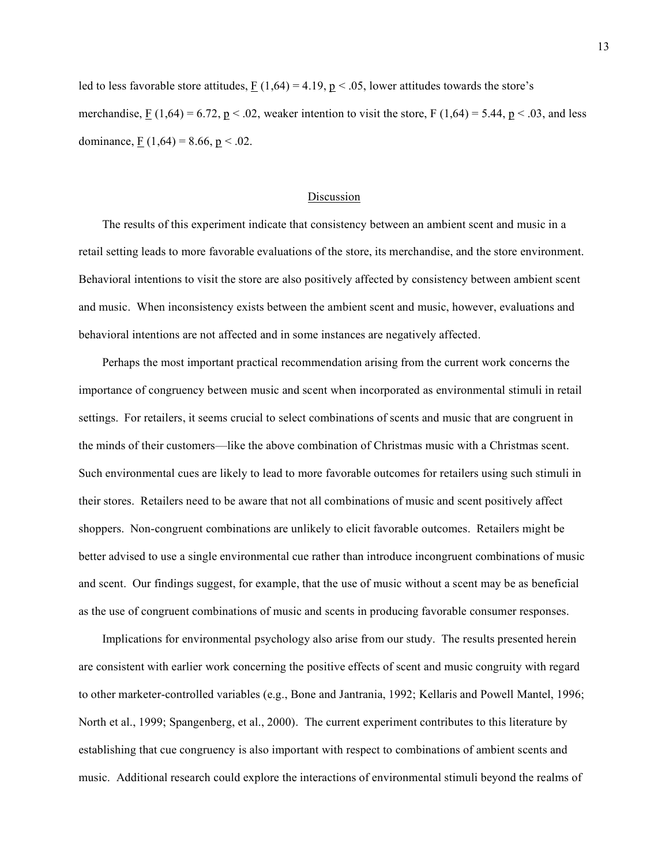led to less favorable store attitudes,  $\underline{F}$  (1,64) = 4.19,  $\underline{p}$  < .05, lower attitudes towards the store's merchandise,  $\underline{F}(1,64) = 6.72$ ,  $\underline{p} < .02$ , weaker intention to visit the store,  $F(1,64) = 5.44$ ,  $\underline{p} < .03$ , and less dominance,  $F(1,64) = 8.66, p < .02$ .

#### Discussion

The results of this experiment indicate that consistency between an ambient scent and music in a retail setting leads to more favorable evaluations of the store, its merchandise, and the store environment. Behavioral intentions to visit the store are also positively affected by consistency between ambient scent and music. When inconsistency exists between the ambient scent and music, however, evaluations and behavioral intentions are not affected and in some instances are negatively affected.

Perhaps the most important practical recommendation arising from the current work concerns the importance of congruency between music and scent when incorporated as environmental stimuli in retail settings. For retailers, it seems crucial to select combinations of scents and music that are congruent in the minds of their customers—like the above combination of Christmas music with a Christmas scent. Such environmental cues are likely to lead to more favorable outcomes for retailers using such stimuli in their stores. Retailers need to be aware that not all combinations of music and scent positively affect shoppers. Non-congruent combinations are unlikely to elicit favorable outcomes. Retailers might be better advised to use a single environmental cue rather than introduce incongruent combinations of music and scent. Our findings suggest, for example, that the use of music without a scent may be as beneficial as the use of congruent combinations of music and scents in producing favorable consumer responses.

Implications for environmental psychology also arise from our study. The results presented herein are consistent with earlier work concerning the positive effects of scent and music congruity with regard to other marketer-controlled variables (e.g., Bone and Jantrania, 1992; Kellaris and Powell Mantel, 1996; North et al., 1999; Spangenberg, et al., 2000). The current experiment contributes to this literature by establishing that cue congruency is also important with respect to combinations of ambient scents and music. Additional research could explore the interactions of environmental stimuli beyond the realms of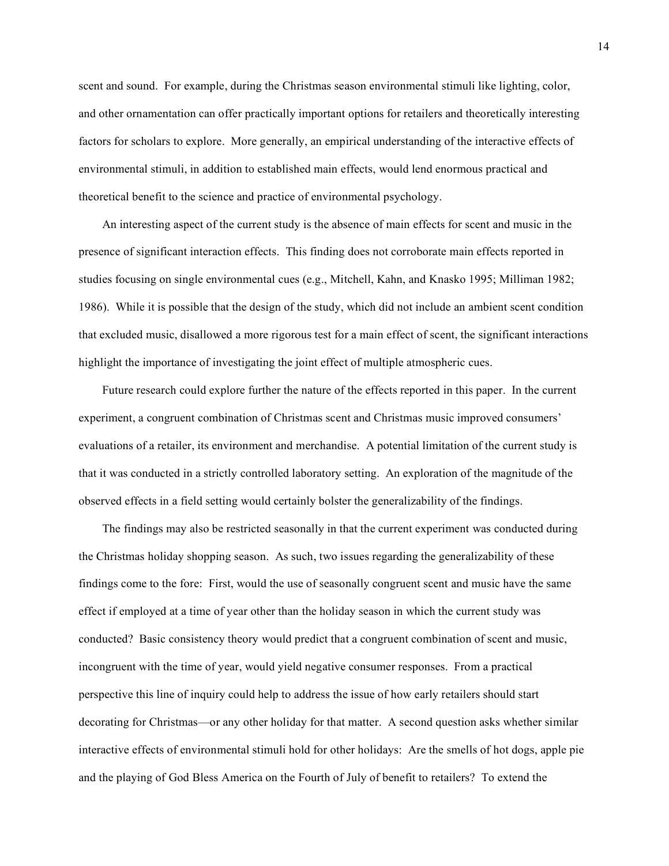scent and sound. For example, during the Christmas season environmental stimuli like lighting, color, and other ornamentation can offer practically important options for retailers and theoretically interesting factors for scholars to explore. More generally, an empirical understanding of the interactive effects of environmental stimuli, in addition to established main effects, would lend enormous practical and theoretical benefit to the science and practice of environmental psychology.

An interesting aspect of the current study is the absence of main effects for scent and music in the presence of significant interaction effects. This finding does not corroborate main effects reported in studies focusing on single environmental cues (e.g., Mitchell, Kahn, and Knasko 1995; Milliman 1982; 1986). While it is possible that the design of the study, which did not include an ambient scent condition that excluded music, disallowed a more rigorous test for a main effect of scent, the significant interactions highlight the importance of investigating the joint effect of multiple atmospheric cues.

Future research could explore further the nature of the effects reported in this paper. In the current experiment, a congruent combination of Christmas scent and Christmas music improved consumers' evaluations of a retailer, its environment and merchandise. A potential limitation of the current study is that it was conducted in a strictly controlled laboratory setting. An exploration of the magnitude of the observed effects in a field setting would certainly bolster the generalizability of the findings.

The findings may also be restricted seasonally in that the current experiment was conducted during the Christmas holiday shopping season. As such, two issues regarding the generalizability of these findings come to the fore: First, would the use of seasonally congruent scent and music have the same effect if employed at a time of year other than the holiday season in which the current study was conducted? Basic consistency theory would predict that a congruent combination of scent and music, incongruent with the time of year, would yield negative consumer responses. From a practical perspective this line of inquiry could help to address the issue of how early retailers should start decorating for Christmas—or any other holiday for that matter. A second question asks whether similar interactive effects of environmental stimuli hold for other holidays: Are the smells of hot dogs, apple pie and the playing of God Bless America on the Fourth of July of benefit to retailers? To extend the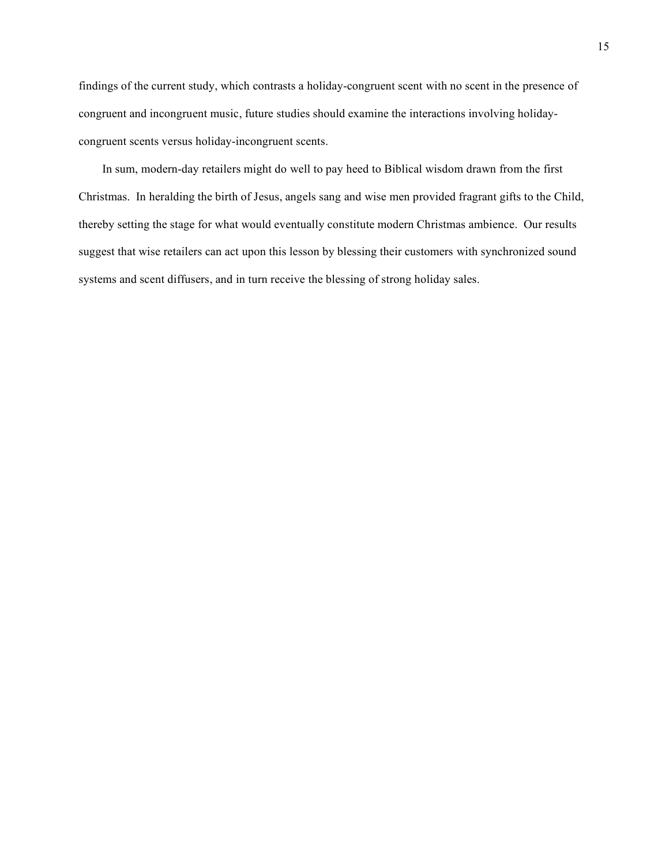findings of the current study, which contrasts a holiday-congruent scent with no scent in the presence of congruent and incongruent music, future studies should examine the interactions involving holidaycongruent scents versus holiday-incongruent scents.

In sum, modern-day retailers might do well to pay heed to Biblical wisdom drawn from the first Christmas. In heralding the birth of Jesus, angels sang and wise men provided fragrant gifts to the Child, thereby setting the stage for what would eventually constitute modern Christmas ambience. Our results suggest that wise retailers can act upon this lesson by blessing their customers with synchronized sound systems and scent diffusers, and in turn receive the blessing of strong holiday sales.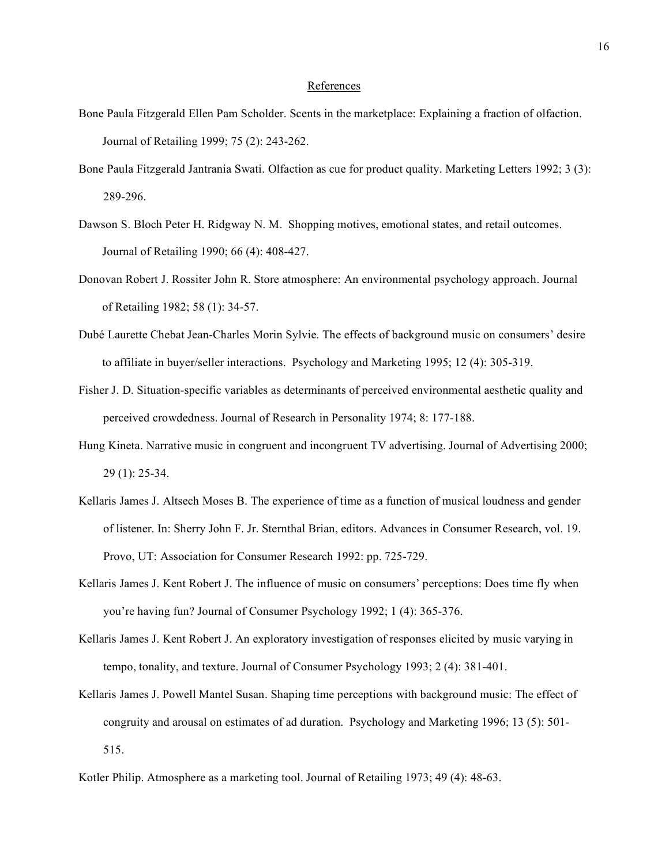#### References

- Bone Paula Fitzgerald Ellen Pam Scholder. Scents in the marketplace: Explaining a fraction of olfaction. Journal of Retailing 1999; 75 (2): 243-262.
- Bone Paula Fitzgerald Jantrania Swati. Olfaction as cue for product quality. Marketing Letters 1992; 3 (3): 289-296.
- Dawson S. Bloch Peter H. Ridgway N. M. Shopping motives, emotional states, and retail outcomes. Journal of Retailing 1990; 66 (4): 408-427.
- Donovan Robert J. Rossiter John R. Store atmosphere: An environmental psychology approach. Journal of Retailing 1982; 58 (1): 34-57.
- Dubé Laurette Chebat Jean-Charles Morin Sylvie. The effects of background music on consumers' desire to affiliate in buyer/seller interactions. Psychology and Marketing 1995; 12 (4): 305-319.
- Fisher J. D. Situation-specific variables as determinants of perceived environmental aesthetic quality and perceived crowdedness. Journal of Research in Personality 1974; 8: 177-188.
- Hung Kineta. Narrative music in congruent and incongruent TV advertising. Journal of Advertising 2000; 29 (1): 25-34.
- Kellaris James J. Altsech Moses B. The experience of time as a function of musical loudness and gender of listener. In: Sherry John F. Jr. Sternthal Brian, editors. Advances in Consumer Research, vol. 19. Provo, UT: Association for Consumer Research 1992: pp. 725-729.
- Kellaris James J. Kent Robert J. The influence of music on consumers' perceptions: Does time fly when you're having fun? Journal of Consumer Psychology 1992; 1 (4): 365-376.
- Kellaris James J. Kent Robert J. An exploratory investigation of responses elicited by music varying in tempo, tonality, and texture. Journal of Consumer Psychology 1993; 2 (4): 381-401.
- Kellaris James J. Powell Mantel Susan. Shaping time perceptions with background music: The effect of congruity and arousal on estimates of ad duration. Psychology and Marketing 1996; 13 (5): 501- 515.
- Kotler Philip. Atmosphere as a marketing tool. Journal of Retailing 1973; 49 (4): 48-63.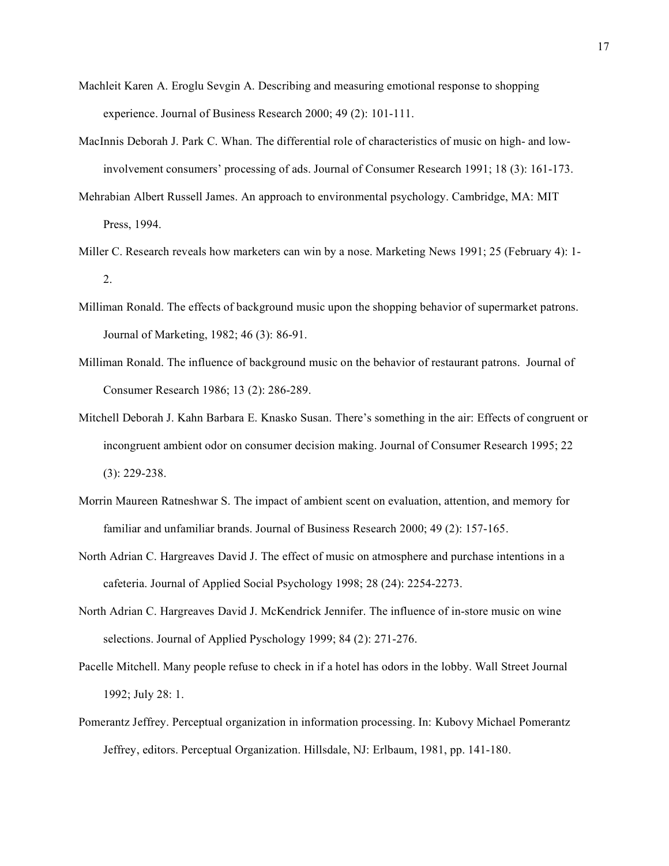- Machleit Karen A. Eroglu Sevgin A. Describing and measuring emotional response to shopping experience. Journal of Business Research 2000; 49 (2): 101-111.
- MacInnis Deborah J. Park C. Whan. The differential role of characteristics of music on high- and lowinvolvement consumers' processing of ads. Journal of Consumer Research 1991; 18 (3): 161-173.
- Mehrabian Albert Russell James. An approach to environmental psychology. Cambridge, MA: MIT Press, 1994.
- Miller C. Research reveals how marketers can win by a nose. Marketing News 1991; 25 (February 4): 1- 2.
- Milliman Ronald. The effects of background music upon the shopping behavior of supermarket patrons. Journal of Marketing, 1982; 46 (3): 86-91.
- Milliman Ronald. The influence of background music on the behavior of restaurant patrons. Journal of Consumer Research 1986; 13 (2): 286-289.
- Mitchell Deborah J. Kahn Barbara E. Knasko Susan. There's something in the air: Effects of congruent or incongruent ambient odor on consumer decision making. Journal of Consumer Research 1995; 22 (3): 229-238.
- Morrin Maureen Ratneshwar S. The impact of ambient scent on evaluation, attention, and memory for familiar and unfamiliar brands. Journal of Business Research 2000; 49 (2): 157-165.
- North Adrian C. Hargreaves David J. The effect of music on atmosphere and purchase intentions in a cafeteria. Journal of Applied Social Psychology 1998; 28 (24): 2254-2273.
- North Adrian C. Hargreaves David J. McKendrick Jennifer. The influence of in-store music on wine selections. Journal of Applied Pyschology 1999; 84 (2): 271-276.
- Pacelle Mitchell. Many people refuse to check in if a hotel has odors in the lobby. Wall Street Journal 1992; July 28: 1.
- Pomerantz Jeffrey. Perceptual organization in information processing. In: Kubovy Michael Pomerantz Jeffrey, editors. Perceptual Organization. Hillsdale, NJ: Erlbaum, 1981, pp. 141-180.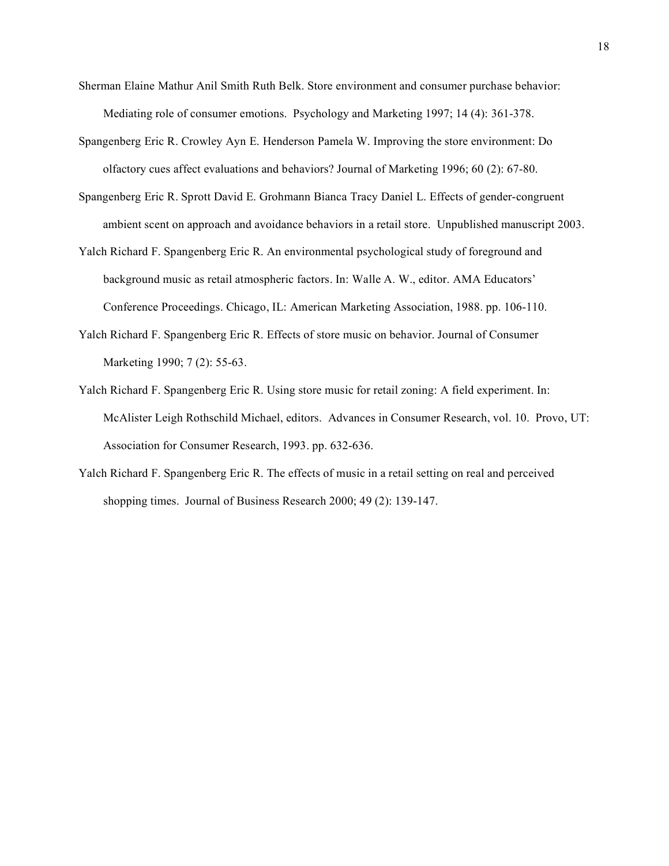- Sherman Elaine Mathur Anil Smith Ruth Belk. Store environment and consumer purchase behavior: Mediating role of consumer emotions. Psychology and Marketing 1997; 14 (4): 361-378.
- Spangenberg Eric R. Crowley Ayn E. Henderson Pamela W. Improving the store environment: Do olfactory cues affect evaluations and behaviors? Journal of Marketing 1996; 60 (2): 67-80.
- Spangenberg Eric R. Sprott David E. Grohmann Bianca Tracy Daniel L. Effects of gender-congruent ambient scent on approach and avoidance behaviors in a retail store. Unpublished manuscript 2003.
- Yalch Richard F. Spangenberg Eric R. An environmental psychological study of foreground and background music as retail atmospheric factors. In: Walle A. W., editor. AMA Educators' Conference Proceedings. Chicago, IL: American Marketing Association, 1988. pp. 106-110.
- Yalch Richard F. Spangenberg Eric R. Effects of store music on behavior. Journal of Consumer Marketing 1990; 7 (2): 55-63.
- Yalch Richard F. Spangenberg Eric R. Using store music for retail zoning: A field experiment. In: McAlister Leigh Rothschild Michael, editors. Advances in Consumer Research, vol. 10. Provo, UT: Association for Consumer Research, 1993. pp. 632-636.
- Yalch Richard F. Spangenberg Eric R. The effects of music in a retail setting on real and perceived shopping times. Journal of Business Research 2000; 49 (2): 139-147.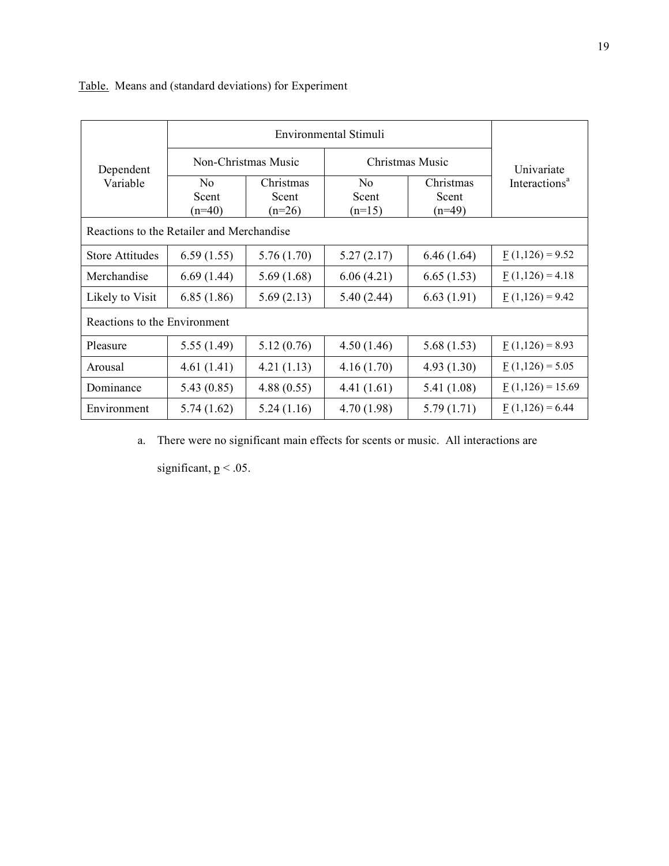| Dependent<br>Variable                     | Environmental Stimuli               |                                |                          |                                |                                |
|-------------------------------------------|-------------------------------------|--------------------------------|--------------------------|--------------------------------|--------------------------------|
|                                           | Non-Christmas Music                 |                                | Christmas Music          |                                | Univariate                     |
|                                           | N <sub>0</sub><br>Scent<br>$(n=40)$ | Christmas<br>Scent<br>$(n=26)$ | No.<br>Scent<br>$(n=15)$ | Christmas<br>Scent<br>$(n=49)$ | Interactions <sup>a</sup>      |
| Reactions to the Retailer and Merchandise |                                     |                                |                          |                                |                                |
| <b>Store Attitudes</b>                    | 6.59(1.55)                          | 5.76(1.70)                     | 5.27(2.17)               | 6.46(1.64)                     | $\underline{F}(1,126) = 9.52$  |
| Merchandise                               | 6.69(1.44)                          | 5.69(1.68)                     | 6.06(4.21)               | 6.65(1.53)                     | $\underline{F}(1,126) = 4.18$  |
| Likely to Visit                           | 6.85(1.86)                          | 5.69(2.13)                     | 5.40(2.44)               | 6.63(1.91)                     | $\underline{F}(1,126) = 9.42$  |
| Reactions to the Environment              |                                     |                                |                          |                                |                                |
| Pleasure                                  | 5.55(1.49)                          | 5.12(0.76)                     | 4.50(1.46)               | 5.68(1.53)                     | $\underline{F}(1,126) = 8.93$  |
| Arousal                                   | 4.61(1.41)                          | 4.21(1.13)                     | 4.16(1.70)               | 4.93(1.30)                     | $\underline{F}(1,126) = 5.05$  |
| Dominance                                 | 5.43(0.85)                          | 4.88(0.55)                     | 4.41(1.61)               | 5.41 (1.08)                    | $\underline{F}(1,126) = 15.69$ |
| Environment                               | 5.74(1.62)                          | 5.24(1.16)                     | 4.70 (1.98)              | 5.79(1.71)                     | $\underline{F}(1,126) = 6.44$  |

Table. Means and (standard deviations) for Experiment

a. There were no significant main effects for scents or music. All interactions are

significant,  $p < .05$ .